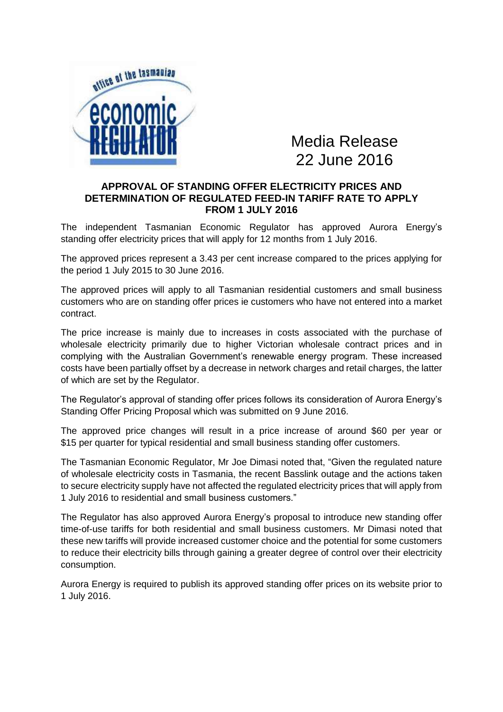

Media Release 22 June 2016

## **APPROVAL OF STANDING OFFER ELECTRICITY PRICES AND DETERMINATION OF REGULATED FEED-IN TARIFF RATE TO APPLY FROM 1 JULY 2016**

The independent Tasmanian Economic Regulator has approved Aurora Energy's standing offer electricity prices that will apply for 12 months from 1 July 2016.

The approved prices represent a 3.43 per cent increase compared to the prices applying for the period 1 July 2015 to 30 June 2016.

The approved prices will apply to all Tasmanian residential customers and small business customers who are on standing offer prices ie customers who have not entered into a market contract.

The price increase is mainly due to increases in costs associated with the purchase of wholesale electricity primarily due to higher Victorian wholesale contract prices and in complying with the Australian Government's renewable energy program. These increased costs have been partially offset by a decrease in network charges and retail charges, the latter of which are set by the Regulator.

The Regulator's approval of standing offer prices follows its consideration of Aurora Energy's Standing Offer Pricing Proposal which was submitted on 9 June 2016.

The approved price changes will result in a price increase of around \$60 per year or \$15 per quarter for typical residential and small business standing offer customers.

The Tasmanian Economic Regulator, Mr Joe Dimasi noted that, "Given the regulated nature of wholesale electricity costs in Tasmania, the recent Basslink outage and the actions taken to secure electricity supply have not affected the regulated electricity prices that will apply from 1 July 2016 to residential and small business customers."

The Regulator has also approved Aurora Energy's proposal to introduce new standing offer time-of-use tariffs for both residential and small business customers. Mr Dimasi noted that these new tariffs will provide increased customer choice and the potential for some customers to reduce their electricity bills through gaining a greater degree of control over their electricity consumption.

Aurora Energy is required to publish its approved standing offer prices on its website prior to 1 July 2016.